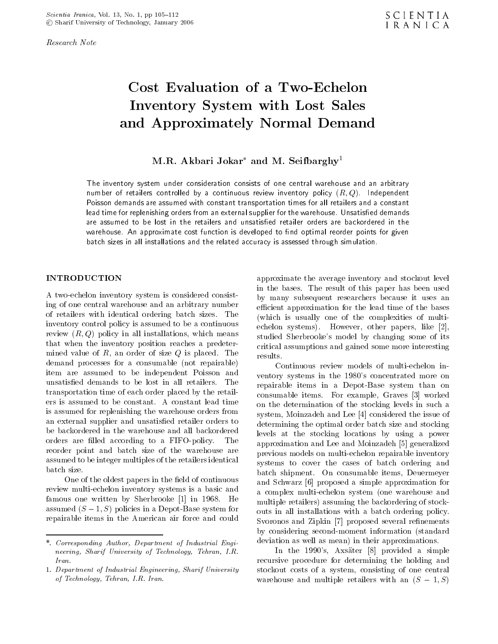Research Note

# Cost Evaluation of a Two-Echelon Inventory System with Lost Sales and Approximately Normal Demand

M.R. Akbari Jokar<sup>\*</sup> and M. Seifbarghy<sup>1</sup>

The inventory system under consideration consists of one central warehouse and an arbitrary number of retailers controlled by a continuous review inventory policy  $(R, Q)$ . Independent Poisson demands are assumed with constant transportation times for all retailers and a constant lead time for replenishing orders from an external supplier for the warehouse. Unsatisfied demands are assumed to be lost in the retailers and unsatisfied retailer orders are backordered in the warehouse. An approximate cost function is developed to find optimal reorder points for given batch sizes in all installations and the related accuracy is assessed through simulation.

<sup>A</sup> two-echelon inventory system is considered consisting of one central warehouse and an arbitrary number of retailers with identical ordering batch sizes. The inventory control policy is assumed to be a continuous review  $(R, Q)$  policy in all installations, which means that when the inventory position reaches <sup>a</sup> predetermined value of  $R$ , an order of size  $Q$  is placed. The results. demand processes for <sup>a</sup> consumable (not repairable) item are assumed to be independent Poisson and unsatisfied demands to be lost in all retailers. The transportation time of each order placed by the retailers is assumed to be constant. <sup>A</sup> constant lead time is assumed for replenishing the warehouse orders from an external supplier and unsatisfied retailer orders to be backordered in the warehouse and all backordered orders are filled according to a FIFO-policy. The reorder point and batch size of the warehouse are assumed to be integer multiples of the retailers identical batch size.

One of the oldest papers in the field of continuous review multi-echelon inventory systems is a basic and famous one written by Sherbrooke [1] in 1968. He assumed  $(S \t 1, S)$  policies in a Depot-Base system for repairable items in the American air force and could approximate the average inventory and stockout level in the bases. The result of this paper has been used by many subsequent researchers because it uses an efficient approximation for the lead time of the bases (which is usually one of the complexities of multiechelon systems). However, other papers, like [2], studied Sherbrooke's model by changing some of its critical assumptions and gained some more interesting

Continuous review models of multi-echelon inventory systems in the <sup>1980</sup>'s concentrated more on repairable items in <sup>a</sup> Depot-Base system than on consumable items. For example, Graves [3] worked on the determination of the stocking levels in such <sup>a</sup> system, Moinzadeh and Lee [4] considered the issue of determining the optimal order batch size and stocking levels at the stocking locations by using <sup>a</sup> power approximation and Lee and Moinzadeh [5] generalized previous models on multi-echelon repairable inventory systems to cover the cases of batch ordering and batch shipment. On consumable items, Deuermeyer and Schwarz [6] proposed <sup>a</sup> simple approximation for <sup>a</sup> complex multi-echelon system (one warehouse and multiple retailers) assuming the backordering of stockouts in all installations with <sup>a</sup> batch ordering policy. Svoronos and Zipkin [7] proposed several refinements by considering second-moment information (standard deviation as well as mean) in their approximations.

In the <sup>1990</sup>'s, Axsater [8] provided <sup>a</sup> simple recursive procedure for determining the holding and stockout costs of <sup>a</sup> system, consisting of one central warehouse and multiple retailers with an  $(S \t 1, S)$ 

<sup>\*.</sup> Corresponding Author, Department of Industrial Engineering, Sharif University of Technology, Tehran, I.R. Iran.

<sup>1.</sup> Department of Industrial Engineering, Sharif University of Technology, Tehran, I.R. Iran.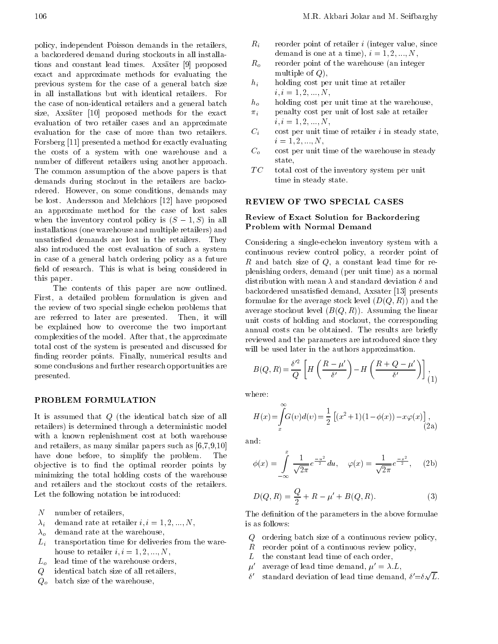policy, independent Poisson demands in the retailers, <sup>a</sup> backordered demand during stockouts in all installations and constant lead times. Axsater [9] proposed exact and approximate methods for evaluating the previous system for the case of <sup>a</sup> general batch size in all installations but with identical retailers. For the case of non-identical retailers and a general batch  $h_o$ size, Axsater [10] proposed methods for the exact evaluation of two retailer cases and an approximate evaluation for the case of more than two retailers. Forsberg [11] presented a method for exactly evaluating the costs of a system with one warehouse and a  $C<sub>o</sub>$ number of different retailers using another approach. The common assumption of the above papers is that demands during stockout in the retailers are backordered. However, on some conditions, demands may be lost. Andersson and Melchiors [12] have proposed an approximate method for the case of lost sales when the inventory control policy is  $(S \t 1, S)$  in all installations (one warehouse and multiple retailers) and unsatisfied demands are lost in the retailers. They also introduced the cost evaluation of such <sup>a</sup> system in case of <sup>a</sup> general batch ordering policy as a future field of research. This is what is being considered in this paper.

The contents of this paper are now outlined. First, <sup>a</sup> detailed problem formulation is given and the review of two special single echelon problems that are referred to later are presented. Then, it will be explained how to overcome the two important complexities of the model. After that, the approximate total cost of the system is presented and discussed for finding reorder points. Finally, numerical results and some conclusions and further research opportunities are presented.

It is assumed that <sup>Q</sup> (the identical batch size of all retailers) is determined through a deterministic model with <sup>a</sup> known replenishment cost at both warehouse and retailers, as many similar papers such as [6,7,9,10] have done before, to simplify the problem. The objective is to find the optimal reorder points by minimizing the total holding costs of the warehouse and retailers and the stockout costs of the retailers. Let the following notation be introduced:

- $N$ number of retailers,
- $\lambda_i$  demand rate at retailer  $i, i = 1, 2, ..., N$ ,
- $\lambda_{\alpha}$  demand rate at the warehouse,
- $L_i$  transportation time for deliveries from the warehouse to retailer  $i, i = 1, 2, ..., N$ ,
- $L<sub>o</sub>$  lead time of the warehouse orders,
- <sup>Q</sup> identical batch size of all retailers,
- $Q_o$  batch size of the warehouse,
- $R_i$  reorder point of retailer *i* (integer value, since demand is one at a time),  $i = 1, 2, ..., N$ ,
- $R_o$  reorder point of the warehouse (an integer multiple of  $Q$ ),
- $h_i$  holding cost per unit time at retailer  $i, i = 1, 2, ..., N,$
- holding cost per unit time at the warehouse,
- $\pi_i$  penalty cost per unit of lost sale at retailer  $i, i = 1, 2, ..., N,$
- $C_i$  cost per unit time of retailer i in steady state,  $i = 1, 2, ..., N$ ,
- cost per unit time of the warehouse in steady state,
- $TC$ total cost of the inventory system per unit time in steady state.

# REVIEW OF TWO SPECIAL CASES

# Review of Exact Solution for Backordering Problem with Normal Demand

Considering <sup>a</sup> single-echelon inventory system with <sup>a</sup> continuous review control policy, <sup>a</sup> reorder point of  $R$  and batch size of  $Q$ , a constant lead time for replenishing orders, demand (per unit time) as a normal distribution with mean  $\lambda$  and standard deviation  $\delta$  and backordered unsatisfied demand, Axsater [13] presents formulae for the average stock level  $(D(Q, R))$  and the average stockout level  $(B(Q, R))$ . Assuming the linear unit costs of holding and stockout, the corresponding annual costs can be obtained. The results are briefly reviewed and the parameters are introduced since they will be used later in the authors approximation.

$$
B(Q,R) = \frac{\delta'^2}{Q} \left[ H\left(\frac{R-\mu'}{\delta'}\right) - H\left(\frac{R+Q-\mu'}{\delta'}\right) \right],
$$
 (1)

where:

$$
H(x) = \int_{x}^{\infty} G(v) d(v) = \frac{1}{2} \left[ (x^2 + 1)(1 + \phi(x)) + x\varphi(x) \right],
$$
\n(2a)

and:

$$
\phi(x) = \int_{-\infty}^{x} \frac{1}{\sqrt{2\pi}} e^{-\frac{u^2}{2}} du, \quad \varphi(x) = \frac{1}{\sqrt{2\pi}} e^{-\frac{x^2}{2}}, \quad (2b)
$$

$$
D(Q, R) = \frac{Q}{2} + R \quad \mu' + B(Q, R). \tag{3}
$$

The definition of the parameters in the above formulae is as follows:

- <sup>Q</sup> ordering batch size of a continuous review policy,
- <sup>R</sup> reorder point of a continuous review policy,
- L the constant lead time of each order,
- $\mu'$  average of lead time demand,  $\mu' = \lambda.L$ ,
- $\delta'$  standard deviation of lead time demand,  $\delta'=\delta\sqrt{L}$ .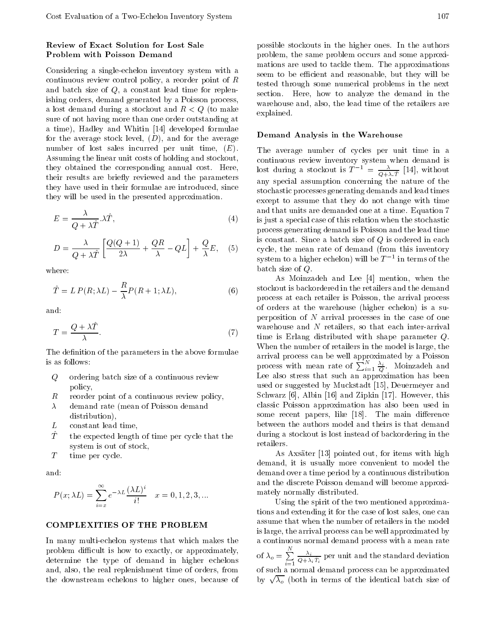# Review of Exact Solution for Lost Sale Problem with Poisson Demand

Considering <sup>a</sup> single-echelon inventory system with <sup>a</sup> continuous review control policy, a reorder point of <sup>R</sup> and batch size of Q, <sup>a</sup> constant lead time for replenishing orders, demand generated by a Poisson process, a lost demand during a stockout and  $R < Q$  (to make sure of not having more than one order outstanding at a time), Hadley and Whitin [14] developed formulae for the average stock level,  $(D)$ , and for the average number of lost sales incurred per unit time, (E). Assuming the linear unit costs of holding and stockout, they obtained the corresponding annual cost. Here, their results are briefly reviewed and the parameters they have used in their formulae are introduced, since they will be used in the presented approximation.

$$
E = \frac{\lambda}{Q + \lambda \hat{T}} \cdot \lambda \hat{T},\tag{4}
$$

$$
D = \frac{\lambda}{Q + \lambda \hat{T}} \left[ \frac{Q(Q+1)}{2\lambda} + \frac{QR}{\lambda} \quad QL \right] + \frac{Q}{\lambda}E, \quad (5) \quad \underset{\mathcal{S}_1^{\circ}}{\circ}
$$

where:

$$
\hat{T} = LP(R; \lambda L) \quad \frac{R}{\lambda} P(R+1; \lambda L),
$$
\n(6)

and:

$$
T = \frac{Q + \lambda \hat{T}}{\lambda}.
$$
 (7)

The definition of the parameters in the above formulae is as follows:

- <sup>Q</sup> ordering batch size of a continuous review policy,
- reorder point of a continuous review policy, R
- $\lambda$  demand rate (mean of Poisson demand distribution),
- <sup>L</sup> constant lead time,
- $\hat{T}$  the expected length of time per cycle that the system is out of stock,
- <sup>T</sup> time per cycle.

and:

$$
P(x; \lambda L) = \sum_{i=x}^{\infty} e^{-\lambda L} \frac{(\lambda L)^i}{i!} \quad x = 0, 1, 2, 3, \dots
$$

# COMPLEXITIES OF THE PROBLEM

In many multi-echelon systems that which makes the problem difficult is how to exactly, or approximately, determine the type of demand in higher echelons and, also, the real replenishment time of orders, from the downstream echelons to higher ones, because of

#### Demand Analysis in the Warehouse

The average number of cycles per unit time in <sup>a</sup> lost during a stockout is  $T^{-1} = \frac{\lambda}{Q + \lambda \hat{T}}$  [14], without any special assumption concerning the nature of the stochastic processes generating demands and lead times except to assume that they do not change with time and that units are demanded one at a time. Equation 7 is just a special case of this relation when the stochastic process generating demand is Poisson and the lead time is constant. Since a batch size of  $Q$  is ordered in each cycle, the mean rate of demand (from this inventory system to a higher echelon) will be  $I_+$  in terms of the  $\sim$ batch size of Q.

As Moinzadeh and Lee [4] mention, when the stockout is backordered in the retailers and the demand process at each retailer is Poisson, the arrival process of orders at the warehouse (higher echelon) is <sup>a</sup> superposition of  $N$  arrival processes in the case of one warehouse and <sup>N</sup> retailers, so that each inter-arrival time is Erlang distributed with shape parameter Q. When the number of retailers in the model is large, the process with mean rate of  $\sum_{i=1}^{N} \frac{\lambda_i}{Q}$ . Moinzadeh and Lee also stress that such an approximation has been used or suggested by Muckstadt [15], Deuermeyer and Schwarz [6], Albin [16] and Zipkin [17]. However, this classic Poisson approximation has also been used in some recent papers, like  $[18]$ . The main difference between the authors model and theirs is that demand during a stockout is lost instead of backordering in the retailers.

As Axsater [13] pointed out, for items with high demand, it is usually more convenient to model the demand over a time period by a continuous distribution and the discrete Poisson demand will become approximately normally distributed.

Using the spirit of the two mentioned approximations and extending it for the case of lost sales, one can assume that when the number of retailers in the model is large, the arrival process can be well approximated by a continuous normal demand process with a mean rate of  $\lambda_o = \sum_{i=1}^{n} \frac{\lambda_i}{Q + \lambda_i \hat{T}_i}$  per unit and the standard deviation of such a normal demand process can be approximated process can be approximated process can be approximated pro by  $\sqrt{\lambda_o}$  (both in terms of the identical batch size of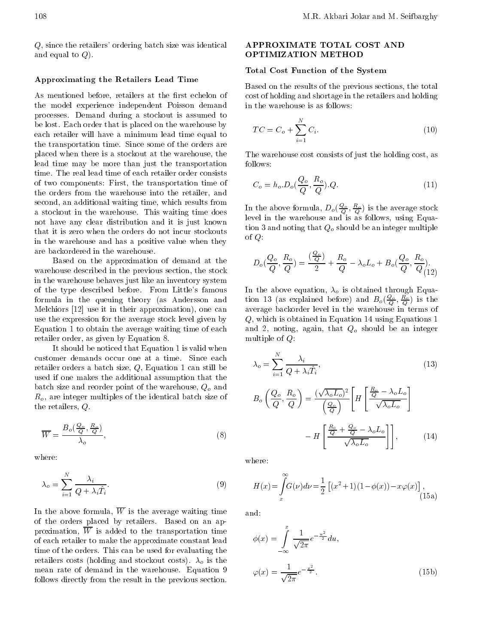Q, since the retailers' ordering batch size was identical and equal to  $Q$ ).

### Approximating the Retailers Lead Time

As mentioned before, retailers at the first echelon of the model experience independent Poisson demand processes. Demand during <sup>a</sup> stockout is assumed to be lost. Each order that is placed on the warehouse by each retailer will have <sup>a</sup> minimum lead time equal to the transportation time. Since some of the orders are placed when there is a stockout at the warehouse, the lead time may be more than just the transportation time. The real lead time of each retailer order consists of two components: First, the transportation time of the orders from the warehouse into the retailer, and second, an additional waiting time, which results from <sup>a</sup> stockout in the warehouse. This waiting time does not have any clear distribution and it is just known that it is zero when the orders do not incur stockouts in the warehouse and has <sup>a</sup> positive value when they are backordered in the warehouse.

Based on the approximation of demand at the warehouse described in the previous section, the stock in the warehouse behaves just like an inventory system of the type described before. From Little's famous formula in the queuing theory (as Andersson and Melchiors [12] use it in their approximation), one can use the expression for the average stock level given by Equation 1 to obtain the average waiting time of each retailer order, as given by Equation 8.

It should be noticed that Equation 1 is valid when customer demands occur one at <sup>a</sup> time. Since each retailer orders a batch size, Q, Equation 1 can still be used if one makes the additional assumption that the batch size and reorder point of the warehouse,  $Q_o$  and  $R_o$ , are integer multiples of the identical batch size of the retailers, Q.

$$
\overline{W} = \frac{B_o(\frac{Q_o}{Q}, \frac{R_o}{Q})}{\lambda_o},\tag{8}
$$

where:

$$
\lambda_o = \sum_{i=1}^{N} \frac{\lambda_i}{Q + \lambda_i \hat{T}_i}.
$$
\n(9)

In the above formula,  $\overline{W}$  is the average waiting time and: of the orders placed by retailers. Based on an approximation,  $\overline{W}$  is added to the transportation time of each retailer to make the approximate constant lead time of the orders. This can be used for evaluating the retailers costs (holding and stockout costs).  $\lambda_o$  is the mean rate of demand in the warehouse. Equation <sup>9</sup> follows directly from the result in the previous section.

# APPROXIMATE TOTAL COST AND OPTIMIZATION METHOD

### Total Cost Function of the System

Based on the results of the previous sections, the total cost of holding and shortage in the retailers and holding in the warehouse is as follows:

$$
TC = C_o + \sum_{i=1}^{N} C_i.
$$
 (10)

The warehouse cost consists of just the holding cost, as follows:

$$
C_o = h_o \cdot D_o(\frac{Q_o}{Q}, \frac{R_o}{Q}).Q. \tag{11}
$$

In the above formula,  $D_o(\frac{B}{Q}, \frac{B}{Q})$  is the average stock level in the warehouse and isas follows, using Equation 3 and noting that  $Q<sub>o</sub>$  should be an integer multiple of  $Q$ :

$$
D_o(\frac{Q_o}{Q}, \frac{R_o}{Q}) = \frac{(\frac{Q_o}{Q})}{2} + \frac{R_o}{Q} \quad \lambda_o L_o + B_o(\frac{Q_o}{Q}, \frac{R_o}{Q})
$$

tion 13 (as explained before) and  $B_o(\frac{Q_o}{Q}, \frac{R_o}{Q})$  is the average backorder level in the warehouse in terms of Q, which is obtained in Equation 14 using Equations 1 and 2, noting, again, that  $Q_o$  should be an integer multiple of  $Q$ :

$$
\lambda_o = \sum_{i=1}^{N} \frac{\lambda_i}{Q + \lambda_i \hat{T}_i},
$$
\n
$$
B_o \left( \frac{Q_o}{Q}, \frac{R_o}{Q} \right) = \frac{(\sqrt{\lambda_o L_o})^2}{\left( \frac{Q_o}{Q} \right)} \left[ H \left[ \frac{\frac{R_o}{Q} - \lambda_o L_o}{\sqrt{\lambda_o L_o}} \right] \right]
$$
\n
$$
H \left[ \frac{\frac{R_o}{Q} + \frac{Q_o}{Q} - \lambda_o L_o}{\sqrt{\lambda_o L_o}} \right],
$$
\n(14)

where:

$$
H(x) = \int_{x}^{\infty} G(\nu) d\nu = \frac{1}{2} \left[ (x^2 + 1)(1 + \phi(x)) + x\varphi(x) \right],
$$
\n(15a)

$$
\phi(x) = \int_{-\infty}^{x} \frac{1}{\sqrt{2\pi}} e^{-\frac{u^2}{2}} du,
$$

$$
\varphi(x) = \frac{1}{\sqrt{2\pi}} e^{-\frac{x^2}{2}}.
$$
(15b)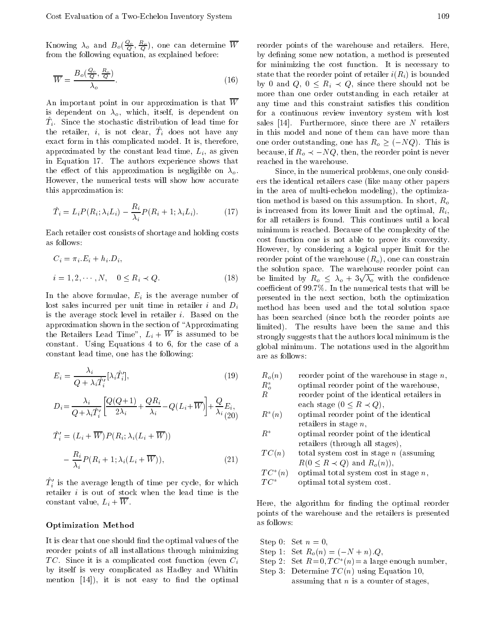Knowing  $\lambda_o$  and  $B_o(\frac{2\alpha}{O}, \frac{2\alpha}{O})$ , one can determine w reorder por from the following equation, as explained before:

$$
\overline{W} = \frac{B_o(\frac{Q_o}{Q}, \frac{R_o}{Q})}{\lambda_o}.
$$
\n(16)

An important point in our approximation is that  $\overline{W}$ is dependent on  $\lambda_o$ , which, itself, is dependent on  $I_i$ . Since the stochastic distribution of lead time for  $S_i$ the retailer,  $i$ , is not clear,  $T_i$  does not have any  $\prod_{i=1}^n$ exact form in this complicated model. It is, therefore, approximated by the constant lead time,  $L_i$ , as given in Equation 17. The authors experience shows that the effect of this approximation is negligible on  $\lambda_o$ . However, the numerical tests will show how accurate this approximation is:

$$
\hat{T}_i = L_i P(R_i; \lambda_i L_i) \quad \frac{R_i}{\lambda_i} P(R_i + 1; \lambda_i L_i). \tag{17}
$$

Each retailer cost consists of shortage and holding costs as follows:

$$
C_i = \pi_i.E_i + h_i.D_i,
$$
  
\n
$$
i = 1, 2, \cdots, N, \quad 0 \le R_i \prec Q.
$$
  
\n(18) b

In the above formulae,  $E_i$  is the average number of lost sales incurred per unit time in retailer  $i$  and  $D_i$ is the average stock level in retailer i. Based on the approximation shown in the section of \Approximating the Retailers Lead Time",  $L_i + \overline{W}$  is assumed to be constant. Using Equations <sup>4</sup> to 6, for the case of <sup>a</sup> constant lead time, one has the following:

$$
E_i = \frac{\lambda_i}{Q + \lambda_i \hat{T}_i'} [\lambda_i \hat{T}_i'], \tag{19}
$$

$$
D_i = \frac{\lambda_i}{Q + \lambda_i \hat{T}_i'} \left[ \frac{Q(Q+1)}{2\lambda_i} + \frac{QR_i}{\lambda_i} \quad Q(L_i + \overline{W}) \right] + \frac{Q}{\lambda_i} E_i,
$$

$$
\hat{T}'_i = (L_i + \overline{W}) P(R_i; \lambda_i (L_i + \overline{W}))
$$

$$
\frac{R_i}{\lambda_i} P(R_i + 1; \lambda_i (L_i + \overline{W})),
$$
(21)

 $T_i$  is the average length of time per cycle, for which  $T \subset T$ retailer  $i$  is out of stock when the lead time is the constant value,  $L_i + \overline{W}$ .

#### Optimization Method

It is clear that one should find the optimal values of the reorder points of all installations through minimizing TC. Since it is a complicated cost function (even  $C_i$ by itself is very complicated as Hadley and Whitin mention  $[14]$ , it is not easy to find the optimal

reorder points of the warehouse and retailers. Here, by defining some new notation, a method is presented for minimizing the cost function. It is necessary to state that the reorder point of retailer  $i(R_i)$  is bounded by 0 and  $Q, 0 \leq R_i \prec Q$ , since there should not be more than one order outstanding in each retailer at any time and this constraint satisfies this condition for <sup>a</sup> continuous review inventory system with lost sales  $[14]$ . Furthermore, since there are N retailers in this model and none of them can have more than one order outstanding, one has  $R_o \geq (NQ)$ . This is because, if  $R_o \prec NQ$ , then, the reorder point is never reached in the warehouse.

Since, in the numerical problems, one only considers the identical retailers case (like many other papers in the area of multi-echelon modeling), the optimization method is based on this assumption. In short,  $R_o$ is increased from its lower limit and the optimal,  $R_i$ , for all retailers is found. This continues until <sup>a</sup> local minimum is reached. Because of the complexity of the cost function one is not able to prove its convexity. However, by considering <sup>a</sup> logical upper limit for the reorder point of the warehouse  $(R_o)$ , one can constrain the solution space. The warehouse reorder point can be limited by  $R_o \leq \lambda_o + 3\sqrt{\lambda_o}$  with the confidence coefficient of  $99.7\%$ . In the numerical tests that will be presented in the next section, both the optimization method has been used and the total solution space has been searched (since both the reorder points are limited). The results have been the same and this strongly suggests that the authors local minimum is the global minimum. The notations used in the algorithm are as follows:

| $R_o(n)$ | reorder point of the warehouse in stage $n$ , |
|----------|-----------------------------------------------|
| $R_o^*$  | optimal reorder point of the warehouse,       |
| R.       | reorder point of the identical retailers in   |
|          | each stage $(0 \leq R \prec Q)$ ,             |
| $R^*(n)$ | optimal reorder point of the identical        |
|          | retailers in stage $n$ ,                      |
| $R^*$    | optimal reorder point of the identical        |
|          | retailers (through all stages),               |

$$
TC(n)
$$
 total system cost in stage *n* (assuming  
 $R(0 \le R \prec Q)$  and  $R_o(n)$ ),

$$
TC^*(n) \quad \text{ optimal total system cost in stage } n,
$$

 $TC^*$  optimal total system cost.

Here, the algorithm for finding the optimal reorder points of the warehouse and the retailers is presented as follows:

- Step 0: Set  $n = 0$ , Step 1: Set  $R_o(n) = (N + n) \cdot Q$ ,
- $S(\mathbf{e})$  2: Set  $\mathbf{A} = \mathbf{0}, \mathbf{I} \cup \{n\} = \mathbf{a}$  large enough number,
- Step 3: Determine  $TC(n)$  using Equation 10, assuming that  $n$  is a counter of stages,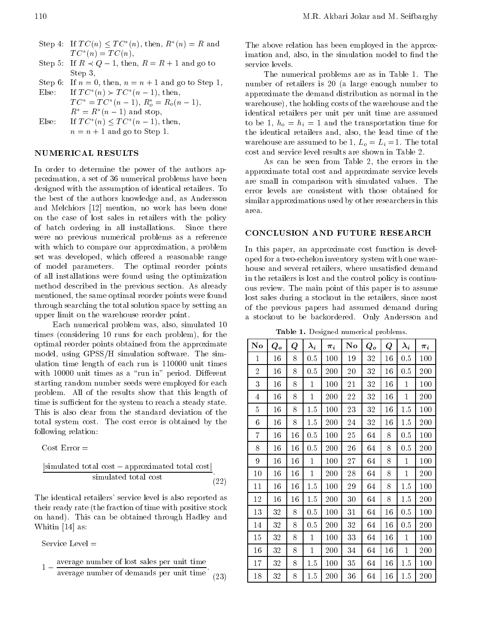- Step 4: If  $I \cup (n) \setminus I \cup (n)$ , then,  $R \setminus (n) = R$  and  $1 \cup |\{n\}| = 1 \cup |\{n\}|,$
- Step 5: If  $R \prec Q$  1, then,  $R = R + 1$  and go to service levels. Step 3,

Step 6: If  $n = 0$ , then,  $n = n + 1$  and go to Step 1, Else: If  $I \cup \{n\} \succ I \cup \{n-1\}$ , then,

 $1 \cup = 1 \cup (n-1), R_o = R_o(n-1),$  $n = n$  (*n* 1) and stop, Else: If T C (n) T C (<sup>n</sup> 1), then,

 $n = n + 1$  and go to Step 1.

# NUMERICAL RESULTS

In order to determine the power of the authors approximation, a set of 36 numerical problems have been designed with the assumption of identical retailers. To the best of the authors knowledge and, as Andersson and Melchiors [12] mention, no work has been done on the case of lost sales in retailers with the policy of batch ordering in all installations. Since there were no previous numerical problems as <sup>a</sup> reference with which to compare our approximation, a problem set was developed, which offered a reasonable range of model parameters. The optimal reorder points of all installations were found using the optimization method described in the previous section. As already mentioned, the same optimal reorder points were found through searching the total solution space by setting an upper limit on the warehouse reorder point.

Each numerical problem was, also, simulated <sup>10</sup> times (considering <sup>10</sup> runs for each problem), for the optimal reorder points obtained from the approximate model, using GPSS/H simulation software. The simulation time length of each run is 110000 unit times with 10000 unit times as a "run in" period. Different starting random number seeds were employed for each problem. All of the results show that this length of time is sufficient for the system to reach a steady state. This is also clear from the standard deviation of the total system cost. The cost error is obtained by the following relation:

Cost Error =

$$
\frac{|\text{simulated total cost} \quad \text{approximated total cost}|}{\text{simulated total cost}}.
$$
\n(22)

The identical retailers' service level is also reported as their ready rate (the fraction of time with positive stock on hand). This can be obtained through Hadley and Whitin [14] as:

Service Level  $=$ 

1 average number of lost sales per unit time average number of demands per unit time 
$$
(23)
$$

The above relation has been employed in the approximation and, also, in the simulation model to find the

The numerical problems are as in Table 1. The number of retailers is <sup>20</sup> (a large enough number to approximate the demand distribution as normal in the warehouse), the holding costs of the warehouse and the identical retailers per unit per unit time are assumed to be 1,  $h_o = h_i = 1$  and the transportation time for the identical retailers and, also, the lead time of the warehouse are assumed to be 1,  $L_o = L_i = 1$ . The total cost and service level results are shown in Table 2.

As can be seen from Table 2, the errors in the approximate total cost and approximate service levels are small in comparison with simulated values. The error levels are consistent with those obtained for similar approximations used by other researchers in this area.

### CONCLUSION AND FUTURE RESEARCH

In this paper, an approximate cost function is developed for a two-echelon inventory system with one warehouse and several retailers, where unsatisfied demand in the retailers is lost and the control policy is continuous review. The main point of this paper is to assume lost sales during a stockout in the retailers, since most of the previous papers had assumed demand during <sup>a</sup> stockout to be backordered. Only Andersson and

Table 1. Designed numerical problems.

| $\mathbf{N}\mathbf{o}$ | $Q_o$ | Q  | $\lambda_i$  | $\pi_i$ | $\mathbf{N}\mathbf{o}$ | $Q_o$ | Q  | $\lambda_i$  | $\pi_i$ |
|------------------------|-------|----|--------------|---------|------------------------|-------|----|--------------|---------|
| $\mathbf{1}$           | 16    | 8  | 0.5          | 100     | 19                     | 32    | 16 | 0.5          | 100     |
| $\overline{2}$         | 16    | 8  | 0.5          | 200     | 20                     | 32    | 16 | 0.5          | 200     |
| 3                      | 16    | 8  | 1            | 100     | 21                     | 32    | 16 | $\mathbf{1}$ | 100     |
| 4                      | 16    | 8  | $\mathbf{1}$ | 200     | 22                     | 32    | 16 | $\mathbf{1}$ | 200     |
| 5                      | 16    | 8  | 1.5          | 100     | $2\sqrt{3}$            | 32    | 16 | 1.5          | 100     |
| $6\phantom{.}$         | 16    | 8  | 1.5          | 200     | 24                     | 32    | 16 | 1.5          | 200     |
| 7                      | 16    | 16 | 0.5          | 100     | 25                     | 64    | 8  | 0.5          | 100     |
| 8                      | 16    | 16 | 0.5          | 200     | 26                     | 64    | 8  | 0.5          | 200     |
| 9                      | 16    | 16 | $\mathbf{1}$ | 100     | 27                     | 64    | 8  | $\mathbf{1}$ | 100     |
| 10                     | 16    | 16 | $\mathbf 1$  | 200     | 28                     | 64    | 8  | $\mathbf{1}$ | 200     |
| 11                     | 16    | 16 | 1.5          | 100     | $\,29$                 | 64    | 8  | 1.5          | 100     |
| 12                     | 16    | 16 | 1.5          | 200     | 30                     | 64    | 8  | 1.5          | 200     |
| 13                     | 32    | 8  | 0.5          | 100     | 31                     | 64    | 16 | 0.5          | 100     |
| 14                     | 32    | 8  | 0.5          | 200     | 32                     | 64    | 16 | 0.5          | 200     |
| 15                     | 32    | 8  | $\mathbf{1}$ | 100     | 33                     | 64    | 16 | $\mathbf 1$  | 100     |
| 16                     | 32    | 8  | $\mathbf{1}$ | 200     | 34                     | 64    | 16 | 1            | 200     |
| 17                     | 32    | 8  | 1.5          | 100     | 35                     | 64    | 16 | 1.5          | 100     |
| 18                     | 32    | 8  | 1.5          | 200     | 36                     | 64    | 16 | 1.5          | 200     |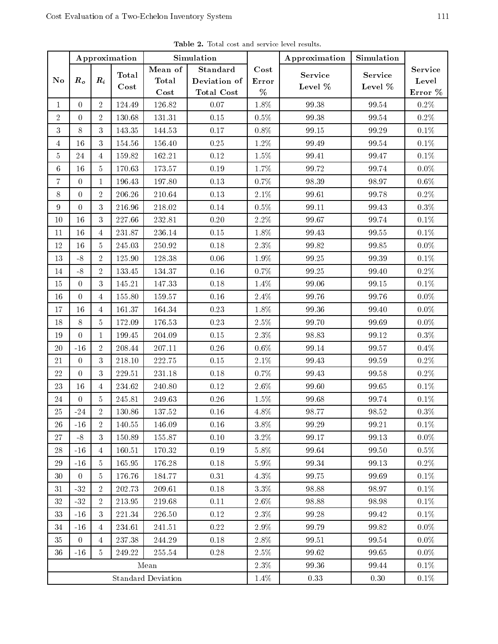| Approximation             |                |                    | Simulation        |                                            | Approximation                          | Simulation                    |                       |                    |                             |  |
|---------------------------|----------------|--------------------|-------------------|--------------------------------------------|----------------------------------------|-------------------------------|-----------------------|--------------------|-----------------------------|--|
| No                        | $R_o$          | $\boldsymbol{R_i}$ | Total<br>$\cos t$ | Mean of<br><b>Total</b><br>$\mathbf{Cost}$ | Standard<br>Deviation of<br>Total Cost | $\mathbf{Cost}$<br>Error<br>% | Service<br>Level $\%$ | Service<br>Level % | Service<br>Level<br>Error % |  |
| $\mathbf{1}$              | $\Omega$       | $\overline{2}$     | 124.49            | 126.82                                     | 0.07                                   | 1.8%                          | 99.38                 | 99.54              | $0.2\%$                     |  |
| $\overline{2}$            | $\Omega$       | $\overline{2}$     | 130.68            | 131.31                                     | $0.15\,$                               | $0.5\%$                       | 99.38                 | 99.54              | $0.2\%$                     |  |
| 3                         | 8              | 3                  | 143.35            | 144.53                                     | 0.17                                   | $0.8\%$                       | 99.15                 | 99.29              | $0.1\%$                     |  |
| $\overline{4}$            | 16             | 3                  | 154.56            | 156.40                                     | $\rm 0.25$                             | 1.2%                          | 99.49                 | 99.54              | $0.1\%$                     |  |
| 5                         | 24             | $\overline{4}$     | 159.82            | 162.21                                     | $0.12\,$                               | 1.5%                          | 99.41                 | 99.47              | $0.1\%$                     |  |
| $6\,$                     | 16             | 5                  | 170.63            | 173.57                                     | 0.19                                   | 1.7%                          | 99.72                 | 99.74              | $0.0\%$                     |  |
| $\overline{7}$            | $\overline{0}$ | $\mathbf{1}$       | 196.43            | 197.80                                     | 0.13                                   | 0.7%                          | 98.39                 | 98.97              | $0.6\%$                     |  |
| 8                         | $\Omega$       | $\overline{2}$     | 206.26            | 210.64                                     | $0.13\,$                               | $2.1\%$                       | 99.61                 | 99.78              | $0.2\%$                     |  |
| 9                         | $\Omega$       | 3                  | 216.96            | 218.02                                     | 0.14                                   | $0.5\%$                       | 99.11                 | 99.43              | $0.3\%$                     |  |
| 10                        | 16             | 3                  | 227.66            | 232.81                                     | 0.20                                   | $2.2\%$                       | 99.67                 | 99.74              | $0.1\%$                     |  |
| 11                        | 16             | $\overline{4}$     | 231.87            | 236.14                                     | 0.15                                   | 1.8%                          | 99.43                 | 99.55              | $0.1\%$                     |  |
| 12                        | 16             | 5                  | 245.03            | 250.92                                     | $0.18\,$                               | $2.3\%$                       | 99.82                 | 99.85              | $0.0\%$                     |  |
| 13                        | $-8$           | $\overline{2}$     | 125.90            | 128.38                                     | 0.06                                   | 1.9%                          | 99.25                 | 99.39              | $0.1\%$                     |  |
| $14\,$                    | $-8$           | $\overline{2}$     | 133.45            | 134.37                                     | $0.16\,$                               | 0.7%                          | 99.25                 | 99.40              | $0.2\%$                     |  |
| 15                        | $\Omega$       | 3                  | 145.21            | 147.33                                     | 0.18                                   | 1.4%                          | 99.06                 | 99.15              | $0.1\%$                     |  |
| 16                        | $\overline{0}$ | $\overline{4}$     | 155.80            | 159.57                                     | $0.16\,$                               | 2.4%                          | 99.76                 | 99.76              | $0.0\%$                     |  |
| 17                        | 16             | $\overline{4}$     | 161.37            | 164.34                                     | 0.23                                   | 1.8%                          | 99.36                 | 99.40              | $0.0\%$                     |  |
| 18                        | 8              | 5                  | 172.09            | 176.53                                     | $0.23\,$                               | 2.5%                          | 99.70                 | 99.69              | $0.0\%$                     |  |
| 19                        | $\Omega$       | $\mathbf{1}$       | 199.45            | 204.09                                     | 0.15                                   | $2.3\%$                       | 98.83                 | 99.12              | $0.3\%$                     |  |
| 20                        | $-16$          | $\overline{2}$     | 208.44            | 207.11                                     | $0.26\,$                               | $0.6\%$                       | 99.14                 | 99.57              | $0.4\%$                     |  |
| 21                        | $\overline{0}$ | 3                  | 218.10            | 222.75                                     | $0.15\,$                               | $2.1\%$                       | 99.43                 | 99.59              | $0.2\%$                     |  |
| 22                        | $\Omega$       | 3                  | $229.51\,$        | 231.18                                     | 0.18                                   | $0.7\%$                       | 99.43                 | 99.58              | $0.2\%$                     |  |
| 23                        | 16             | $\overline{4}$     | 234.62            | 240.80                                     | $0.12\,$                               | 2.6%                          | 99.60                 | 99.65              | $0.1\%$                     |  |
| 24                        | $\Omega$       | 5.                 | 245.81            | 249.63                                     | $0.26\,$                               | $1.5\%$                       | 99.68                 | 99.74              | $0.1\%$                     |  |
| $25\,$                    | $-24$          | $\overline{2}$     | 130.86            | 137.52                                     | 0.16                                   | 4.8%                          | 98.77                 | 98.52              | $0.3\%$                     |  |
| 26                        | $-16$          | $\overline{2}$     | 140.55            | 146.09                                     | 0.16                                   | 3.8%                          | 99.29                 | 99.21              | 0.1%                        |  |
| 27                        | $-8$           | 3                  | 150.89            | 155.87                                     | 0.10                                   | $3.2\%$                       | 99.17                 | 99.13              | $0.0\%$                     |  |
| 28                        | $-16$          | 4                  | 160.51            | 170.32                                     | 0.19                                   | 5.8%                          | 99.64                 | 99.50              | $0.5\%$                     |  |
| 29                        | $-16$          | 5                  | 165.95            | 176.28                                     | $0.18\,$                               | 5.9%                          | 99.34                 | 99.13              | $0.2\%$                     |  |
| 30                        | $\Omega$       | 5                  | 176.76            | 184.77                                     | 0.31                                   | $4.3\%$                       | 99.75                 | 99.69              | $0.1\%$                     |  |
| 31                        | $\mbox{--}32$  | $\overline{2}$     | 202.73            | 209.61                                     | 0.18                                   | $3.3\%$                       | 98.88                 | 98.97              | $0.1\%$                     |  |
| 32                        | $-32$          | $\overline{2}$     | 213.95            | 219.68                                     | 0.11                                   | $2.6\%$                       | 98.88                 | 98.98              | $0.1\%$                     |  |
| 33                        | $-16$          | 3                  | 221.34            | 226.50                                     | 0.12                                   | $2.3\%$                       | 99.28                 | 99.42              | $0.1\%$                     |  |
| 34                        | $-16$          | 4                  | 234.61            | 241.51                                     | $0.22\,$                               | 2.9%                          | 99.79                 | 99.82              | $0.0\%$                     |  |
| 35                        | $\overline{0}$ | 4                  | 237.38            | 244.29                                     | 0.18                                   | 2.8%                          | 99.51                 | 99.54              | $0.0\%$                     |  |
| 36                        | $\mbox{-}16$   | 5                  | 249.22            | 255.54                                     | $0.28\,$                               | $2.5\%$                       | 99.62                 | $99\;65$           | $0.0\%$                     |  |
|                           |                |                    |                   | Mean                                       |                                        | 2.3%                          | 99.36                 | 99.44              | $0.1\%$                     |  |
| <b>Standard Deviation</b> |                |                    |                   |                                            |                                        | 1.4%                          | 0.33                  | 0.30               | $0.1\%$                     |  |

Table 2. Total cost and service level results.